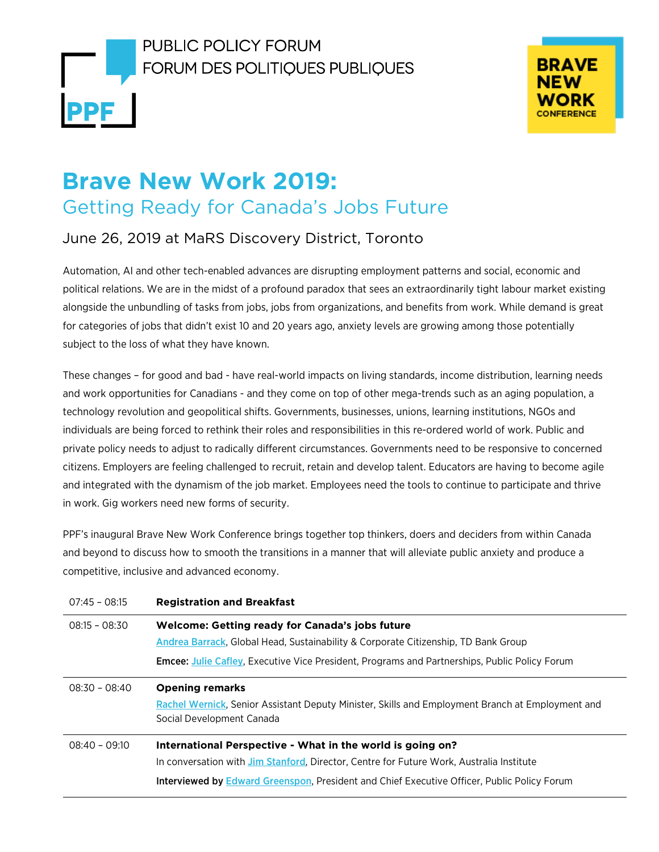

PUBLIC POLICY FORUM FORUM DES POLITIQUES PUBLIQUES



## **Brave New Work 2019:** Getting Ready for Canada's Jobs Future

## June 26, 2019 at MaRS Discovery District, Toronto

Automation, AI and other tech-enabled advances are disrupting employment patterns and social, economic and political relations. We are in the midst of a profound paradox that sees an extraordinarily tight labour market existing alongside the unbundling of tasks from jobs, jobs from organizations, and benefits from work. While demand is great for categories of jobs that didn't exist 10 and 20 years ago, anxiety levels are growing among those potentially subject to the loss of what they have known.

These changes – for good and bad - have real-world impacts on living standards, income distribution, learning needs and work opportunities for Canadians - and they come on top of other mega-trends such as an aging population, a technology revolution and geopolitical shifts. Governments, businesses, unions, learning institutions, NGOs and individuals are being forced to rethink their roles and responsibilities in this re-ordered world of work. Public and private policy needs to adjust to radically different circumstances. Governments need to be responsive to concerned citizens. Employers are feeling challenged to recruit, retain and develop talent. Educators are having to become agile and integrated with the dynamism of the job market. Employees need the tools to continue to participate and thrive in work. Gig workers need new forms of security.

PPF's inaugural Brave New Work Conference brings together top thinkers, doers and deciders from within Canada and beyond to discuss how to smooth the transitions in a manner that will alleviate public anxiety and produce a competitive, inclusive and advanced economy.

| $07:45 - 08:15$ | <b>Registration and Breakfast</b>                                                                                                                                                                                                                            |
|-----------------|--------------------------------------------------------------------------------------------------------------------------------------------------------------------------------------------------------------------------------------------------------------|
| $08:15 - 08:30$ | Welcome: Getting ready for Canada's jobs future<br>Andrea Barrack, Global Head, Sustainability & Corporate Citizenship, TD Bank Group                                                                                                                        |
|                 | <b>Emcee: Julie Cafley, Executive Vice President, Programs and Partnerships, Public Policy Forum</b>                                                                                                                                                         |
| $08:30 - 08:40$ | <b>Opening remarks</b><br>Rachel Wernick, Senior Assistant Deputy Minister, Skills and Employment Branch at Employment and<br>Social Development Canada                                                                                                      |
| $08:40 - 09:10$ | International Perspective - What in the world is going on?<br>In conversation with Jim Stanford, Director, Centre for Future Work, Australia Institute<br><b>Interviewed by Edward Greenspon, President and Chief Executive Officer, Public Policy Forum</b> |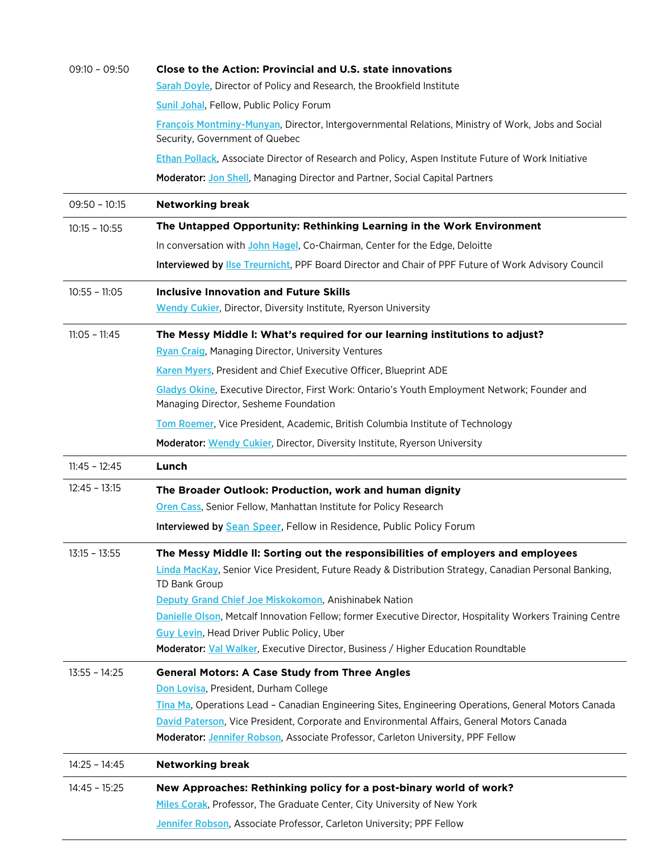| $09:10 - 09:50$ | Close to the Action: Provincial and U.S. state innovations                                                                                    |
|-----------------|-----------------------------------------------------------------------------------------------------------------------------------------------|
|                 | Sarah Doyle, Director of Policy and Research, the Brookfield Institute                                                                        |
|                 | <b>Sunil Johal, Fellow, Public Policy Forum</b>                                                                                               |
|                 | François Montminy-Munyan, Director, Intergovernmental Relations, Ministry of Work, Jobs and Social<br>Security, Government of Quebec          |
|                 | Ethan Pollack, Associate Director of Research and Policy, Aspen Institute Future of Work Initiative                                           |
|                 | Moderator: Jon Shell, Managing Director and Partner, Social Capital Partners                                                                  |
| $09:50 - 10:15$ | <b>Networking break</b>                                                                                                                       |
| $10:15 - 10:55$ | The Untapped Opportunity: Rethinking Learning in the Work Environment                                                                         |
|                 | In conversation with John Hagel, Co-Chairman, Center for the Edge, Deloitte                                                                   |
|                 | Interviewed by <b>Ilse Treurnicht</b> , PPF Board Director and Chair of PPF Future of Work Advisory Council                                   |
| $10:55 - 11:05$ | <b>Inclusive Innovation and Future Skills</b>                                                                                                 |
|                 | Wendy Cukier, Director, Diversity Institute, Ryerson University                                                                               |
| $11:05 - 11:45$ | The Messy Middle I: What's required for our learning institutions to adjust?                                                                  |
|                 | <b>Ryan Craig, Managing Director, University Ventures</b>                                                                                     |
|                 | <b>Karen Myers, President and Chief Executive Officer, Blueprint ADE</b>                                                                      |
|                 | Gladys Okine, Executive Director, First Work: Ontario's Youth Employment Network; Founder and<br>Managing Director, Sesheme Foundation        |
|                 | Tom Roemer, Vice President, Academic, British Columbia Institute of Technology                                                                |
|                 | Moderator: Wendy Cukier, Director, Diversity Institute, Ryerson University                                                                    |
| $11:45 - 12:45$ | Lunch                                                                                                                                         |
| $12:45 - 13:15$ | The Broader Outlook: Production, work and human dignity                                                                                       |
|                 | <b>Oren Cass</b> , Senior Fellow, Manhattan Institute for Policy Research                                                                     |
|                 | Interviewed by Sean Speer, Fellow in Residence, Public Policy Forum                                                                           |
| $13:15 - 13:55$ | The Messy Middle II: Sorting out the responsibilities of employers and employees                                                              |
|                 | Linda MacKay, Senior Vice President, Future Ready & Distribution Strategy, Canadian Personal Banking,<br>TD Bank Group                        |
|                 | Deputy Grand Chief Joe Miskokomon, Anishinabek Nation                                                                                         |
|                 | Danielle Olson, Metcalf Innovation Fellow; former Executive Director, Hospitality Workers Training Centre                                     |
|                 | <b>Guy Levin, Head Driver Public Policy, Uber</b>                                                                                             |
|                 | Moderator: Val Walker, Executive Director, Business / Higher Education Roundtable                                                             |
| $13:55 - 14:25$ | <b>General Motors: A Case Study from Three Angles</b>                                                                                         |
|                 | Don Lovisa, President, Durham College<br>Tina Ma, Operations Lead - Canadian Engineering Sites, Engineering Operations, General Motors Canada |
|                 | <b>David Paterson, Vice President, Corporate and Environmental Affairs, General Motors Canada</b>                                             |
|                 | Moderator: Jennifer Robson, Associate Professor, Carleton University, PPF Fellow                                                              |
| $14:25 - 14:45$ | <b>Networking break</b>                                                                                                                       |
| $14:45 - 15:25$ | New Approaches: Rethinking policy for a post-binary world of work?                                                                            |
|                 | Miles Corak, Professor, The Graduate Center, City University of New York                                                                      |
|                 | Jennifer Robson, Associate Professor, Carleton University; PPF Fellow                                                                         |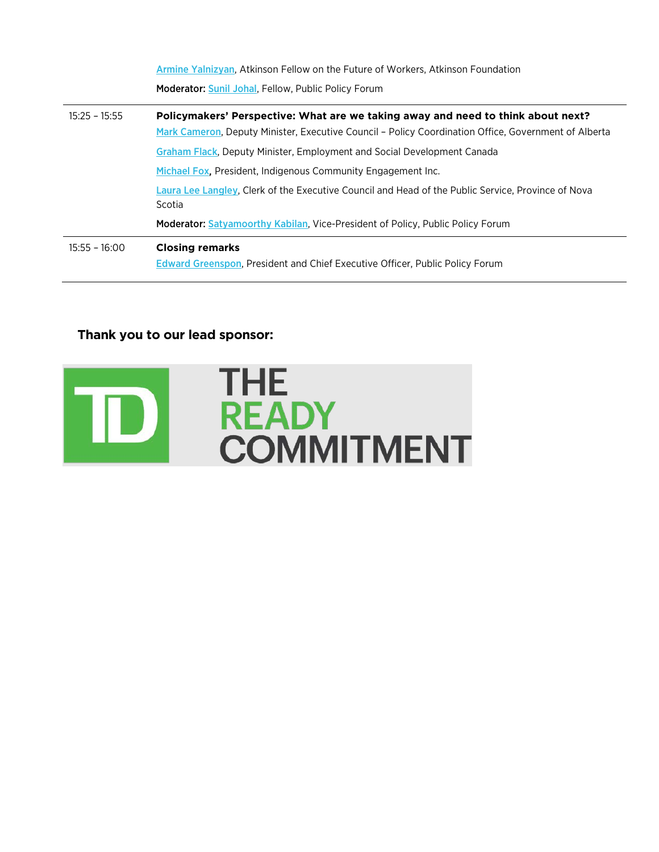|                 | Armine Yalnizyan, Atkinson Fellow on the Future of Workers, Atkinson Foundation                              |
|-----------------|--------------------------------------------------------------------------------------------------------------|
|                 | <b>Moderator: Sunil Johal, Fellow, Public Policy Forum</b>                                                   |
| $15:25 - 15:55$ | Policymakers' Perspective: What are we taking away and need to think about next?                             |
|                 | Mark Cameron, Deputy Minister, Executive Council - Policy Coordination Office, Government of Alberta         |
|                 | <b>Graham Flack, Deputy Minister, Employment and Social Development Canada</b>                               |
|                 | Michael Fox, President, Indigenous Community Engagement Inc.                                                 |
|                 | Laura Lee Langley, Clerk of the Executive Council and Head of the Public Service, Province of Nova<br>Scotia |
|                 | <b>Moderator: Satyamoorthy Kabilan, Vice-President of Policy, Public Policy Forum</b>                        |
| $15:55 - 16:00$ | <b>Closing remarks</b>                                                                                       |
|                 | <b>Edward Greenspon, President and Chief Executive Officer, Public Policy Forum</b>                          |

## **Thank you to our lead sponsor:**